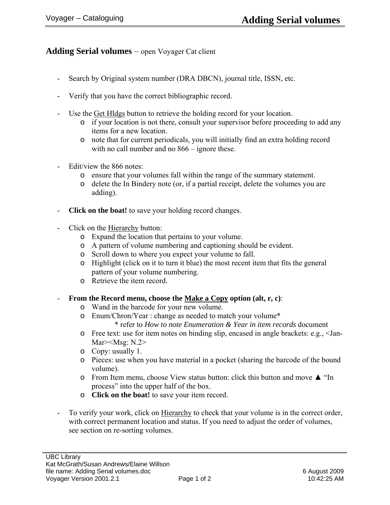## **Adding Serial volumes** – open Voyager Cat client

- Search by Original system number (DRA DBCN), journal title, ISSN, etc.
- Verify that you have the correct bibliographic record.
- Use the Get Hldgs button to retrieve the holding record for your location.
	- o if your location is not there, consult your supervisor before proceeding to add any items for a new location.
	- o note that for current periodicals, you will initially find an extra holding record with no call number and no 866 – ignore these.
- Edit/view the 866 notes:
	- o ensure that your volumes fall within the range of the summary statement.
	- o delete the In Bindery note (or, if a partial receipt, delete the volumes you are adding).
- **Click on the boat!** to save your holding record changes.
- Click on the Hierarchy button:
	- o Expand the location that pertains to your volume.
	- o A pattern of volume numbering and captioning should be evident.
	- o Scroll down to where you expect your volume to fall.
	- o Highlight (click on it to turn it blue) the most recent item that fits the general pattern of your volume numbering.
	- o Retrieve the item record.
- **From the Record menu, choose the Make a Copy option (alt, r, c)**:
	- o Wand in the barcode for your new volume.
	- o Enum/Chron/Year : change as needed to match your volume\* \* refer to *How to note Enumeration & Year in item records* document
	- o Free text: use for item notes on binding slip, encased in angle brackets: e.g., <Jan-Mar><Msg: N.2>
	- o Copy: usually 1.
	- o Pieces: use when you have material in a pocket (sharing the barcode of the bound volume).
	- o From Item menu, choose View status button: click this button and move ▲ "In process" into the upper half of the box.
	- o **Click on the boat!** to save your item record.
- To verify your work, click on Hierarchy to check that your volume is in the correct order, with correct permanent location and status. If you need to adjust the order of volumes, see section on re-sorting volumes.